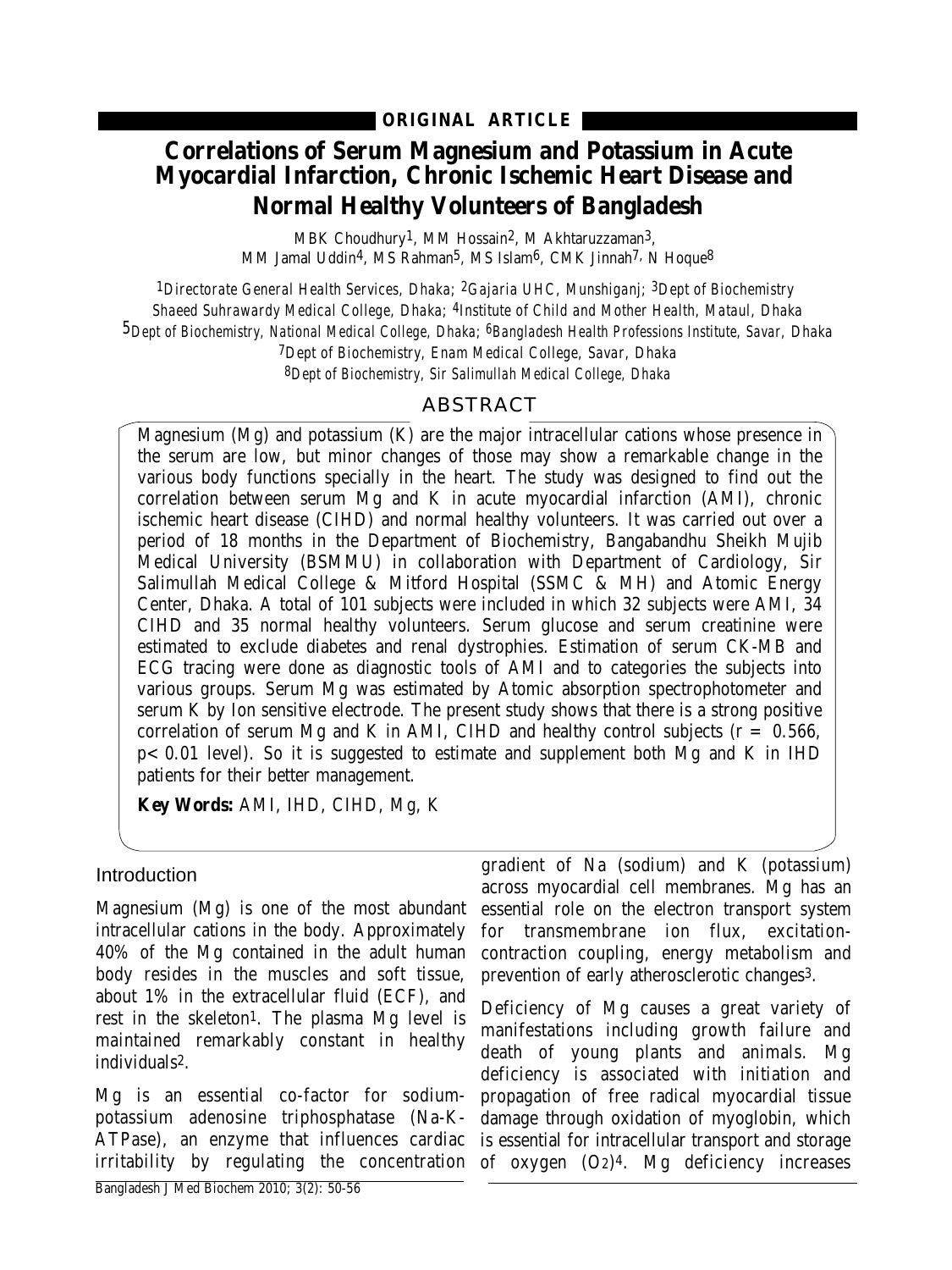# **Correlations of Serum Magnesium and Potassium in Acute Myocardial Infarction, Chronic Ischemic Heart Disease and Normal Healthy Volunteers of Bangladesh**

MBK Choudhury1, MM Hossain2, M Akhtaruzzaman3, MM Jamal Uddin<sup>4</sup>, MS Rahman<sup>5</sup>, MS Islam<sup>6</sup>, CMK Jinnah<sup>7,</sup> N Hoque<sup>8</sup>

*1Directorate General Health Services, Dhaka; 2Gajaria UHC, Munshiganj; 3Dept of Biochemistry Shaeed Suhrawardy Medical College, Dhaka; 4Institute of Child and Mother Health, Mataul, Dhaka 5Dept of Biochemistry, National Medical College, Dhaka; 6Bangladesh Health Professions Institute, Savar, Dhaka*

*7Dept of Biochemistry, Enam Medical College, Savar, Dhaka 8Dept of Biochemistry, Sir Salimullah Medical College, Dhaka*

## ABSTRACT

Magnesium (Mg) and potassium (K) are the major intracellular cations whose presence in the serum are low, but minor changes of those may show a remarkable change in the various body functions specially in the heart. The study was designed to find out the correlation between serum Mg and K in acute myocardial infarction (AMI), chronic ischemic heart disease (CIHD) and normal healthy volunteers. It was carried out over a period of 18 months in the Department of Biochemistry, Bangabandhu Sheikh Mujib Medical University (BSMMU) in collaboration with Department of Cardiology, Sir Salimullah Medical College & Mitford Hospital (SSMC & MH) and Atomic Energy Center, Dhaka. A total of 101 subjects were included in which 32 subjects were AMI, 34 CIHD and 35 normal healthy volunteers. Serum glucose and serum creatinine were estimated to exclude diabetes and renal dystrophies. Estimation of serum CK-MB and ECG tracing were done as diagnostic tools of AMI and to categories the subjects into various groups. Serum Mg was estimated by Atomic absorption spectrophotometer and serum K by Ion sensitive electrode. The present study shows that there is a strong positive correlation of serum Mg and K in AMI, CIHD and healthy control subjects  $(r = 0.566,$  $p<0.01$  level). So it is suggested to estimate and supplement both Mg and K in IHD patients for their better management.

**Key Words:** AMI, IHD, CIHD, Mg, K

## Introduction

Magnesium (Mg) is one of the most abundant intracellular cations in the body. Approximately 40% of the Mg contained in the adult human body resides in the muscles and soft tissue, about 1% in the extracellular fluid (ECF), and rest in the skeleton1. The plasma Mg level is maintained remarkably constant in healthy individuals2.

irritability by regulating the concentration of oxygen (O2)4. Mg deficiency increases Mg is an essential co-factor for sodiumpotassium adenosine triphosphatase (Na-K-ATPase), an enzyme that influences cardiac

gradient of Na (sodium) and K (potassium) across myocardial cell membranes. Mg has an essential role on the electron transport system for transmembrane ion flux, excitationcontraction coupling, energy metabolism and prevention of early atherosclerotic changes3.

Deficiency of Mg causes a great variety of manifestations including growth failure and death of young plants and animals. Mg deficiency is associated with initiation and propagation of free radical myocardial tissue damage through oxidation of myoglobin, which is essential for intracellular transport and storage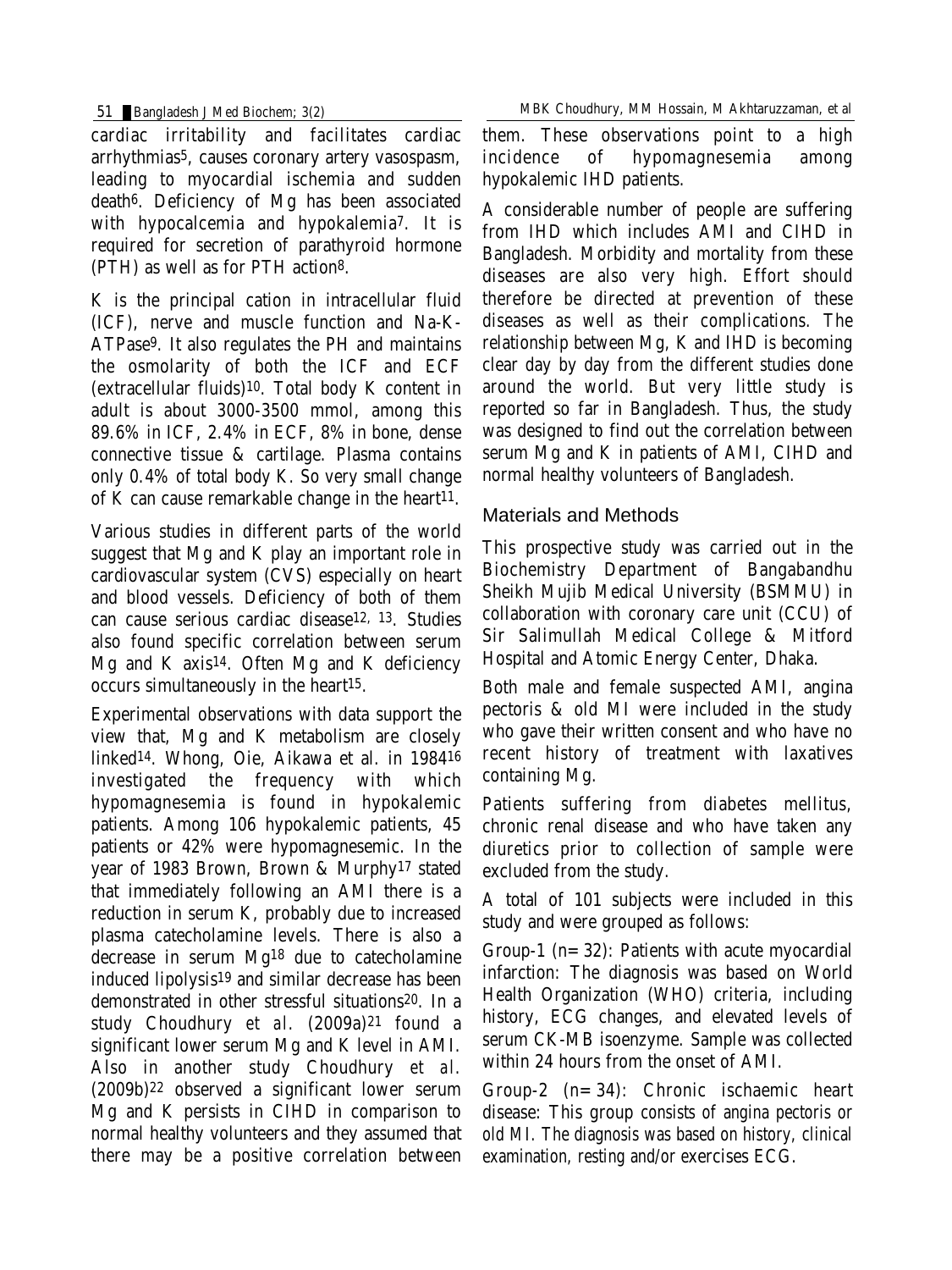cardiac irritability and facilitates cardiac arrhythmias5, causes coronary artery vasospasm, leading to myocardial ischemia and sudden death6. Deficiency of Mg has been associated with hypocalcemia and hypokalemia7. It is required for secretion of parathyroid hormone (PTH) as well as for PTH action8.

K is the principal cation in intracellular fluid (ICF), nerve and muscle function and Na-K-ATPase9. It also regulates the PH and maintains the osmolarity of both the ICF and ECF (extracellular fluids)10. Total body K content in adult is about 3000-3500 mmol, among this 89.6% in ICF, 2.4% in ECF, 8% in bone, dense connective tissue & cartilage. Plasma contains only 0.4% of total body K. So very small change of K can cause remarkable change in the heart<sup>11</sup>.

Various studies in different parts of the world suggest that Mg and K play an important role in cardiovascular system (CVS) especially on heart and blood vessels. Deficiency of both of them can cause serious cardiac disease12, 13. Studies also found specific correlation between serum Mg and K axis<sup>14</sup>. Often Mg and K deficiency occurs simultaneously in the heart15.

Experimental observations with data support the view that, Mg and K metabolism are closely linked14. Whong, Oie, Aikawa et al. in 198416 investigated the frequency with which hypomagnesemia is found in hypokalemic patients. Among 106 hypokalemic patients, 45 patients or 42% were hypomagnesemic. In the year of 1983 Brown, Brown & Murphy17 stated that immediately following an AMI there is a reduction in serum K, probably due to increased plasma catecholamine levels. There is also a decrease in serum Mg18 due to catecholamine induced lipolysis19 and similar decrease has been demonstrated in other stressful situations20. In a study Choudhury *et al*. (2009a)21 found a significant lower serum Mg and K level in AMI. Also in another study Choudhury *et al*. (2009b)22 observed a significant lower serum Mg and K persists in CIHD in comparison to normal healthy volunteers and they assumed that there may be a positive correlation between

them. These observations point to a high incidence of hypomagnesemia among hypokalemic IHD patients.

A considerable number of people are suffering from IHD which includes AMI and CIHD in Bangladesh. Morbidity and mortality from these diseases are also very high. Effort should therefore be directed at prevention of these diseases as well as their complications. The relationship between Mg, K and IHD is becoming clear day by day from the different studies done around the world. But very little study is reported so far in Bangladesh. Thus, the study was designed to find out the correlation between serum Mg and K in patients of AMI, CIHD and normal healthy volunteers of Bangladesh.

## Materials and Methods

This prospective study was carried out in the Biochemistry Department of Bangabandhu Sheikh Mujib Medical University (BSMMU) in collaboration with coronary care unit (CCU) of Sir Salimullah Medical College & Mitford Hospital and Atomic Energy Center, Dhaka.

Both male and female suspected AMI, angina pectoris & old MI were included in the study who gave their written consent and who have no recent history of treatment with laxatives containing Mg.

Patients suffering from diabetes mellitus, chronic renal disease and who have taken any diuretics prior to collection of sample were excluded from the study.

A total of 101 subjects were included in this study and were grouped as follows:

Group-1  $(n=32)$ : Patients with acute myocardial infarction: The diagnosis was based on World Health Organization (WHO) criteria, including history, ECG changes, and elevated levels of serum CK-MB isoenzyme. Sample was collected within 24 hours from the onset of AMI.

Group-2 (n=34): Chronic ischaemic heart disease: This group consists of angina pectoris or old MI. The diagnosis was based on history, clinical examination, resting and/or exercises ECG.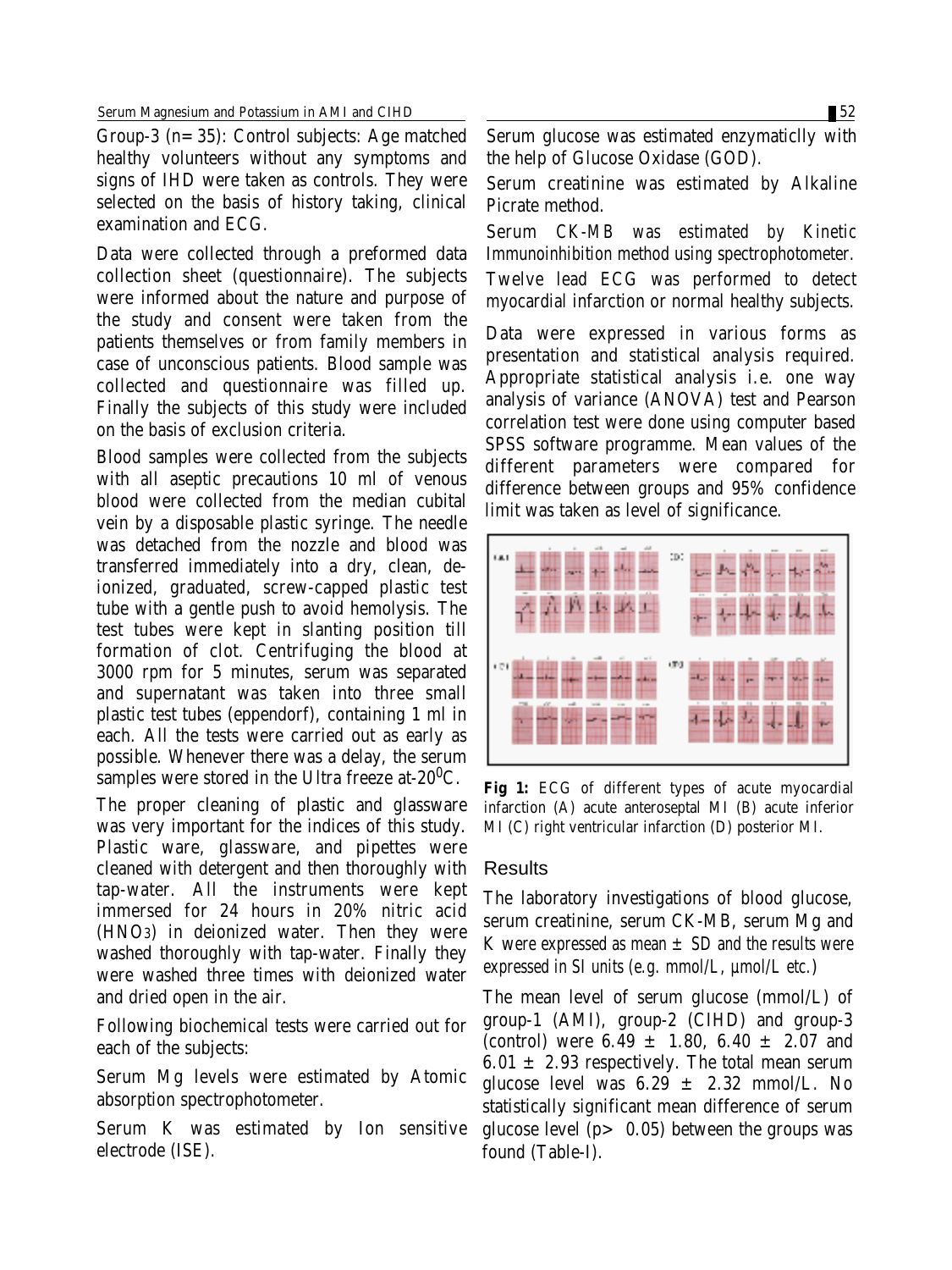Group-3 (n=35): Control subjects: Age matched healthy volunteers without any symptoms and signs of IHD were taken as controls. They were selected on the basis of history taking, clinical examination and ECG.

Data were collected through a preformed data collection sheet (questionnaire). The subjects were informed about the nature and purpose of the study and consent were taken from the patients themselves or from family members in case of unconscious patients. Blood sample was collected and questionnaire was filled up. Finally the subjects of this study were included on the basis of exclusion criteria.

Blood samples were collected from the subjects with all aseptic precautions 10 ml of venous blood were collected from the median cubital vein by a disposable plastic syringe. The needle was detached from the nozzle and blood was transferred immediately into a dry, clean, deionized, graduated, screw-capped plastic test tube with a gentle push to avoid hemolysis. The test tubes were kept in slanting position till formation of clot. Centrifuging the blood at 3000 rpm for 5 minutes, serum was separated and supernatant was taken into three small plastic test tubes (eppendorf), containing 1 ml in each. All the tests were carried out as early as possible. Whenever there was a delay, the serum samples were stored in the Ultra freeze at-20 $\rm ^{0}C.$ 

The proper cleaning of plastic and glassware was very important for the indices of this study. Plastic ware, glassware, and pipettes were cleaned with detergent and then thoroughly with tap-water. All the instruments were kept immersed for 24 hours in 20% nitric acid (HNO3) in deionized water. Then they were washed thoroughly with tap-water. Finally they were washed three times with deionized water and dried open in the air.

Following biochemical tests were carried out for each of the subjects:

Serum Mg levels were estimated by Atomic absorption spectrophotometer.

Serum K was estimated by Ion sensitive electrode (ISE).

Serum glucose was estimated enzymaticlly with the help of Glucose Oxidase (GOD).

Serum creatinine was estimated by Alkaline Picrate method.

Serum CK-MB was estimated by Kinetic Immunoinhibition method using spectrophotometer. Twelve lead ECG was performed to detect myocardial infarction or normal healthy subjects.

Data were expressed in various forms as presentation and statistical analysis required. Appropriate statistical analysis i.e. one way analysis of variance (ANOVA) test and Pearson correlation test were done using computer based SPSS software programme. Mean values of the different parameters were compared for difference between groups and 95% confidence limit was taken as level of significance.



**Fig 1:** ECG of different types of acute myocardial infarction (A) acute anteroseptal MI (B) acute inferior MI (C) right ventricular infarction (D) posterior MI.

## Results

The laboratory investigations of blood glucose, serum creatinine, serum CK-MB, serum Mg and K were expressed as mean  $\pm$  SD and the results were expressed in SI units (e.g.  $mmol/L$ ,  $\mu mol/L$  etc.)

The mean level of serum glucose (mmol/L) of group-1 (AMI), group-2 (CIHD) and group-3 (control) were  $6.49 \pm 1.80, 6.40 \pm 2.07$  and  $6.01 \pm 2.93$  respectively. The total mean serum glucose level was  $6.29 \pm 2.32$  mmol/L. No statistically significant mean difference of serum glucose level  $(p > 0.05)$  between the groups was found (Table-I).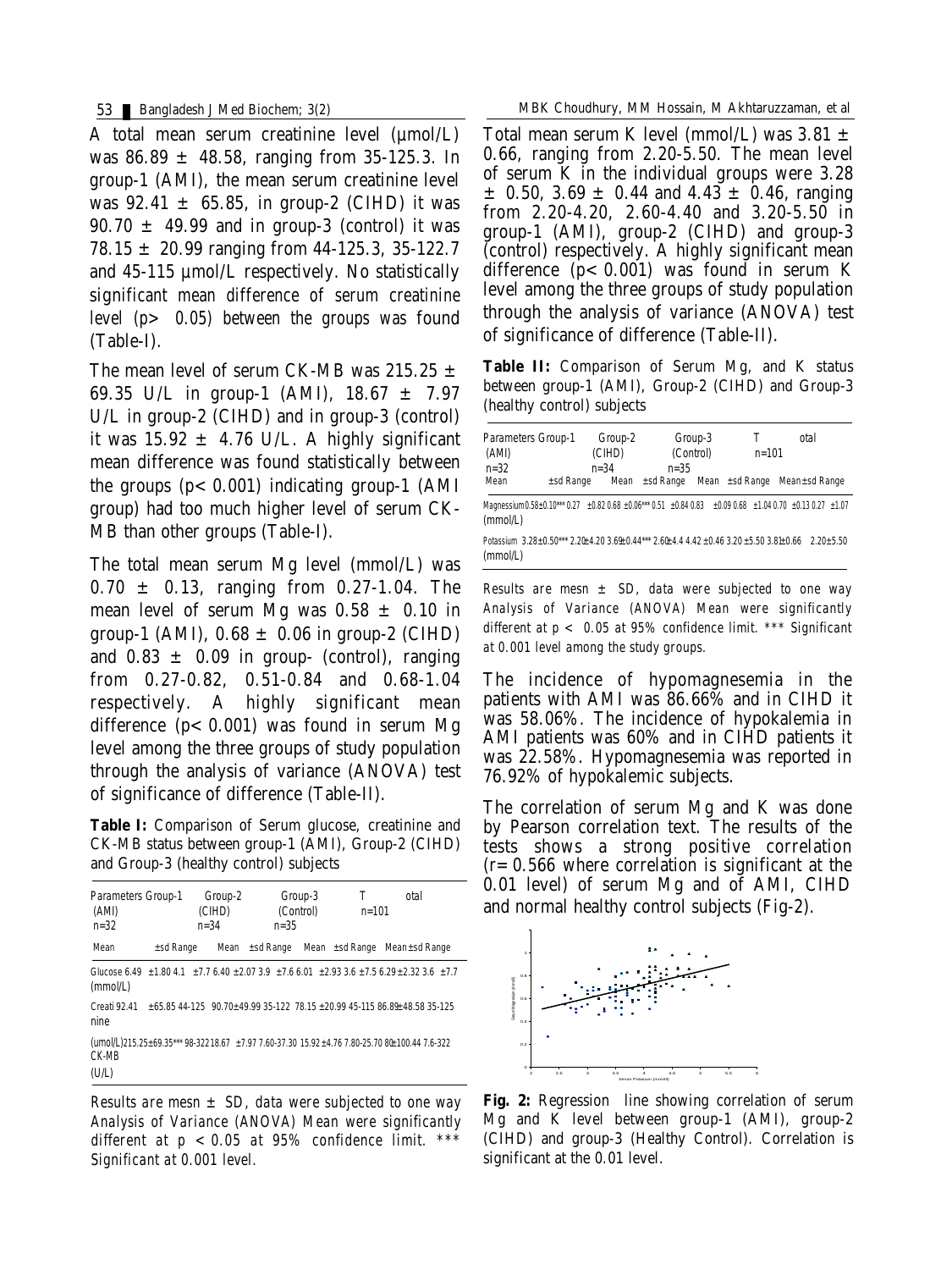A total mean serum creatinine level  $(\mu \text{mol/L})$ was  $86.89 \pm 48.58$ , ranging from 35-125.3. In group-1 (AMI), the mean serum creatinine level was  $92.41 \pm 65.85$ , in group-2 (CIHD) it was  $90.70 \pm 49.99$  and in group-3 (control) it was 78.15 ± 20.99 ranging from 44-125.3, 35-122.7 and 45-115 µmol/L respectively. No statistically significant mean difference of serum creatinine level (p> 0.05) between the groups was found (Table-I).

The mean level of serum CK-MB was  $215.25 \pm$ 69.35 U/L in group-1 (AMI),  $18.67 \pm 7.97$ U/L in group-2 (CIHD) and in group-3 (control) it was  $15.92 \pm 4.76$  U/L. A highly significant mean difference was found statistically between the groups  $(p < 0.001)$  indicating group-1 (AMI group) had too much higher level of serum CK-MB than other groups (Table-I).

The total mean serum Mg level (mmol/L) was  $0.70 \pm 0.13$ , ranging from 0.27-1.04. The mean level of serum Mg was  $0.58 \pm 0.10$  in group-1 (AMI),  $0.68 \pm 0.06$  in group-2 (CIHD) and  $0.83 \pm 0.09$  in group- (control), ranging from 0.27-0.82, 0.51-0.84 and 0.68-1.04 respectively. A highly significant mean difference  $(p < 0.001)$  was found in serum Mg level among the three groups of study population through the analysis of variance (ANOVA) test of significance of difference (Table-II).

**Table I:** Comparison of Serum glucose, creatinine and CK-MB status between group-1 (AMI), Group-2 (CIHD) and Group-3 (healthy control) subjects

| Parameters Group-1<br>(AMI)<br>$n = 32$ |              | Group-2<br>(CIHD)<br>$n = 34$ | Group-3<br>(Control)<br>$n = 35$ | $n = 101$ | otal                                                                                            |
|-----------------------------------------|--------------|-------------------------------|----------------------------------|-----------|-------------------------------------------------------------------------------------------------|
| Mean                                    | $±$ sd Range | Mean                          | $±$ sd Range                     |           | Mean ±sd Range Mean±sd Range                                                                    |
| (mmol/L)                                |              |                               |                                  |           | Glucose 6.49 + 1.80 4.1 + 7.7 6.40 + 2.07 3.9 + 7.6 6.01 + 2.93 3.6 + 7.5 6.29 + 2.32 3.6 + 7.7 |
| Creati 92.41<br>nine                    |              |                               |                                  |           | +65.85 44-125 90.70+49.99 35-122 78.15 +20.99 45-115 86.89+48.58 35-125                         |
| CK-MB<br>(U/L)                          |              |                               |                                  |           | (umol/L)215.25±69.35*** 98-32218.67 ±7.97 7.60-37.30 15.92±4.76 7.80-25.70 80±100.44 7.6-322    |

*Results are mesn ± SD, data were subjected to one way Analysis of Variance (ANOVA) Mean were significantly different at p <0.05 at 95% confidence limit. \*\*\* Significant at 0.001 level.*

Total mean serum K level (mmol/L) was  $3.81 \pm$ 0.66, ranging from 2.20-5.50. The mean level of serum K in the individual groups were 3.28  $\pm$  0.50, 3.69  $\pm$  0.44 and 4.43  $\pm$  0.46, ranging from 2.20-4.20, 2.60-4.40 and 3.20-5.50 in group-1 (AMI), group-2 (CIHD) and group-3 (control) respectively. A highly significant mean difference  $(p < 0.001)$  was found in serum K level among the three groups of study population through the analysis of variance (ANOVA) test of significance of difference (Table-II). MBK Choudhury, MM Hossain, M Akhtaruzzaman, et al<br>
al mean serum K invel (mmol/L) was 3.81  $\pm$ <br>
i. 5, ranging from 2.20-5.50. The mean level<br>
eerum K in the individual groups were 3.28<br>  $\pm 0.50$ , 3.69  $\pm 0.44$  and 4.43

**Table II:** Comparison of Serum Mg, and K status between group-1 (AMI), Group-2 (CIHD) and Group-3 (healthy control) subjects

| Parameters Group-1<br>(AMI)<br>$n = 32$                                                                            |              | Group-2<br>(CIHD)<br>$n = 34$ |                   | Group-3<br>(Control)<br>$n = 35$ |                               | $n = 101$ | otal |  |
|--------------------------------------------------------------------------------------------------------------------|--------------|-------------------------------|-------------------|----------------------------------|-------------------------------|-----------|------|--|
| Mean                                                                                                               | $±$ sd Range |                               | Mean $±$ sd Range |                                  | Mean ±sd Range Mean ±sd Range |           |      |  |
| Magnessium0.58±0.10*** 0.27 ±0.82 0.68 ±0.06*** 0.51 ±0.84 0.83 ±0.09 0.68 ±1.04 0.70 ±0.13 0.27 ±1.07<br>(mmol/L) |              |                               |                   |                                  |                               |           |      |  |
| Potassium 3.28+0.50*** 2.20+4.20 3.69+0.44*** 2.60+4.4 4.42 +0.46 3.20 +5.50 3.81+0.66 2.20+5.50<br>(mmol/L)       |              |                               |                   |                                  |                               |           |      |  |

*Results are mesn ± SD, data were subjected to one way Analysis of Variance (ANOVA) Mean were significantly different at p < 0.05 at 95% confidence limit. \*\*\* Significant at 0.001 level among the study groups.*

The incidence of hypomagnesemia in the patients with AMI was 86.66% and in CIHD it was 58.06%. The incidence of hypokalemia in AMI patients was 60% and in CIHD patients it was 22.58%. Hypomagnesemia was reported in 76.92% of hypokalemic subjects.

The correlation of serum Mg and K was done by Pearson correlation text. The results of the tests shows a strong positive correlation  $(r=0.566$  where correlation is significant at the 0.01 level) of serum Mg and of AMI, CIHD and normal healthy control subjects (Fig-2).



**Fig. 2:** Regression line showing correlation of serum Mg and K level between group-1 (AMI), group-2 (CIHD) and group-3 (Healthy Control). Correlation is significant at the 0.01 level.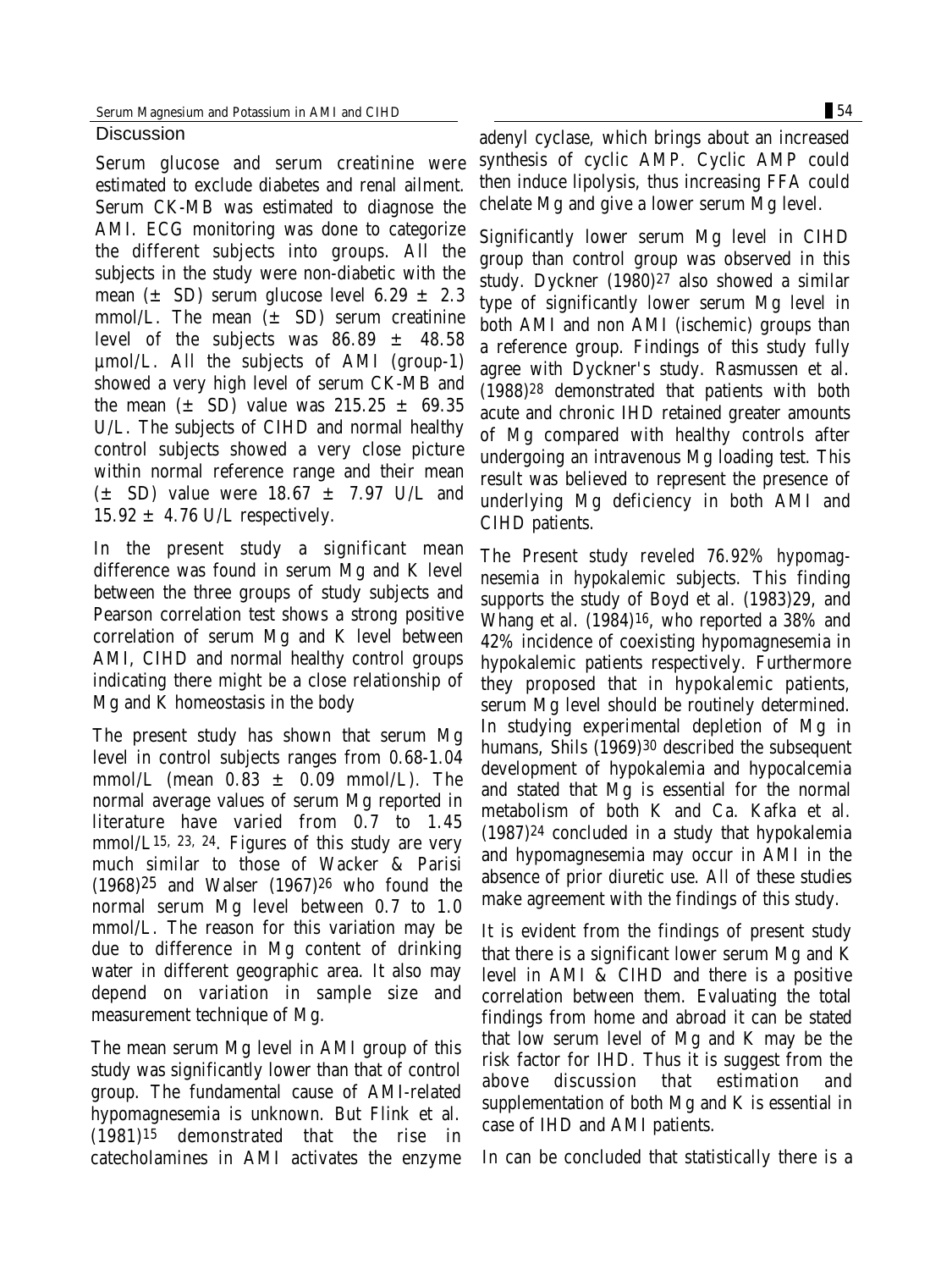#### Discussion

Serum glucose and serum creatinine were estimated to exclude diabetes and renal ailment. Serum CK-MB was estimated to diagnose the AMI. ECG monitoring was done to categorize the different subjects into groups. All the subjects in the study were non-diabetic with the mean  $(\pm$  SD) serum glucose level 6.29  $\pm$  2.3 mmol/L. The mean  $(\pm$  SD) serum creatinine level of the subjects was  $86.89 \pm 48.58$ µmol/L. All the subjects of AMI (group-1) showed a very high level of serum CK-MB and the mean  $(\pm$  SD) value was 215.25  $\pm$  69.35 U/L. The subjects of CIHD and normal healthy control subjects showed a very close picture within normal reference range and their mean  $(\pm$  SD) value were 18.67  $\pm$  7.97 U/L and  $15.92 \pm 4.76$  U/L respectively.

In the present study a significant mean difference was found in serum Mg and K level between the three groups of study subjects and Pearson correlation test shows a strong positive correlation of serum Mg and K level between AMI, CIHD and normal healthy control groups indicating there might be a close relationship of Mg and K homeostasis in the body

The present study has shown that serum Mg level in control subjects ranges from 0.68-1.04 mmol/L (mean  $0.83 \pm 0.09$  mmol/L). The normal average values of serum Mg reported in literature have varied from 0.7 to 1.45 mmol/L15, 23, 24. Figures of this study are very much similar to those of Wacker & Parisi (1968)25 and Walser (1967)26 who found the normal serum Mg level between 0.7 to 1.0 mmol/L. The reason for this variation may be due to difference in Mg content of drinking water in different geographic area. It also may depend on variation in sample size and measurement technique of Mg.

The mean serum Mg level in AMI group of this study was significantly lower than that of control group. The fundamental cause of AMI-related hypomagnesemia is unknown. But Flink et al. (1981)15 demonstrated that the rise in catecholamines in AMI activates the enzyme

adenyl cyclase, which brings about an increased synthesis of cyclic AMP. Cyclic AMP could then induce lipolysis, thus increasing FFA could chelate Mg and give a lower serum Mg level.

Significantly lower serum Mg level in CIHD group than control group was observed in this study. Dyckner (1980)27 also showed a similar type of significantly lower serum Mg level in both AMI and non AMI (ischemic) groups than a reference group. Findings of this study fully agree with Dyckner's study. Rasmussen et al. (1988)28 demonstrated that patients with both acute and chronic IHD retained greater amounts of Mg compared with healthy controls after undergoing an intravenous Mg loading test. This result was believed to represent the presence of underlying Mg deficiency in both AMI and CIHD patients.

The Present study reveled 76.92% hypomagnesemia in hypokalemic subjects. This finding supports the study of Boyd et al. (1983)29, and Whang et al. (1984)16, who reported a 38% and 42% incidence of coexisting hypomagnesemia in hypokalemic patients respectively. Furthermore they proposed that in hypokalemic patients, serum Mg level should be routinely determined. In studying experimental depletion of Mg in humans, Shils (1969)30 described the subsequent development of hypokalemia and hypocalcemia and stated that Mg is essential for the normal metabolism of both K and Ca. Kafka et al. (1987)24 concluded in a study that hypokalemia and hypomagnesemia may occur in AMI in the absence of prior diuretic use. All of these studies make agreement with the findings of this study.

It is evident from the findings of present study that there is a significant lower serum Mg and K level in AMI & CIHD and there is a positive correlation between them. Evaluating the total findings from home and abroad it can be stated that low serum level of Mg and K may be the risk factor for IHD. Thus it is suggest from the above discussion that estimation and supplementation of both Mg and K is essential in case of IHD and AMI patients.

In can be concluded that statistically there is a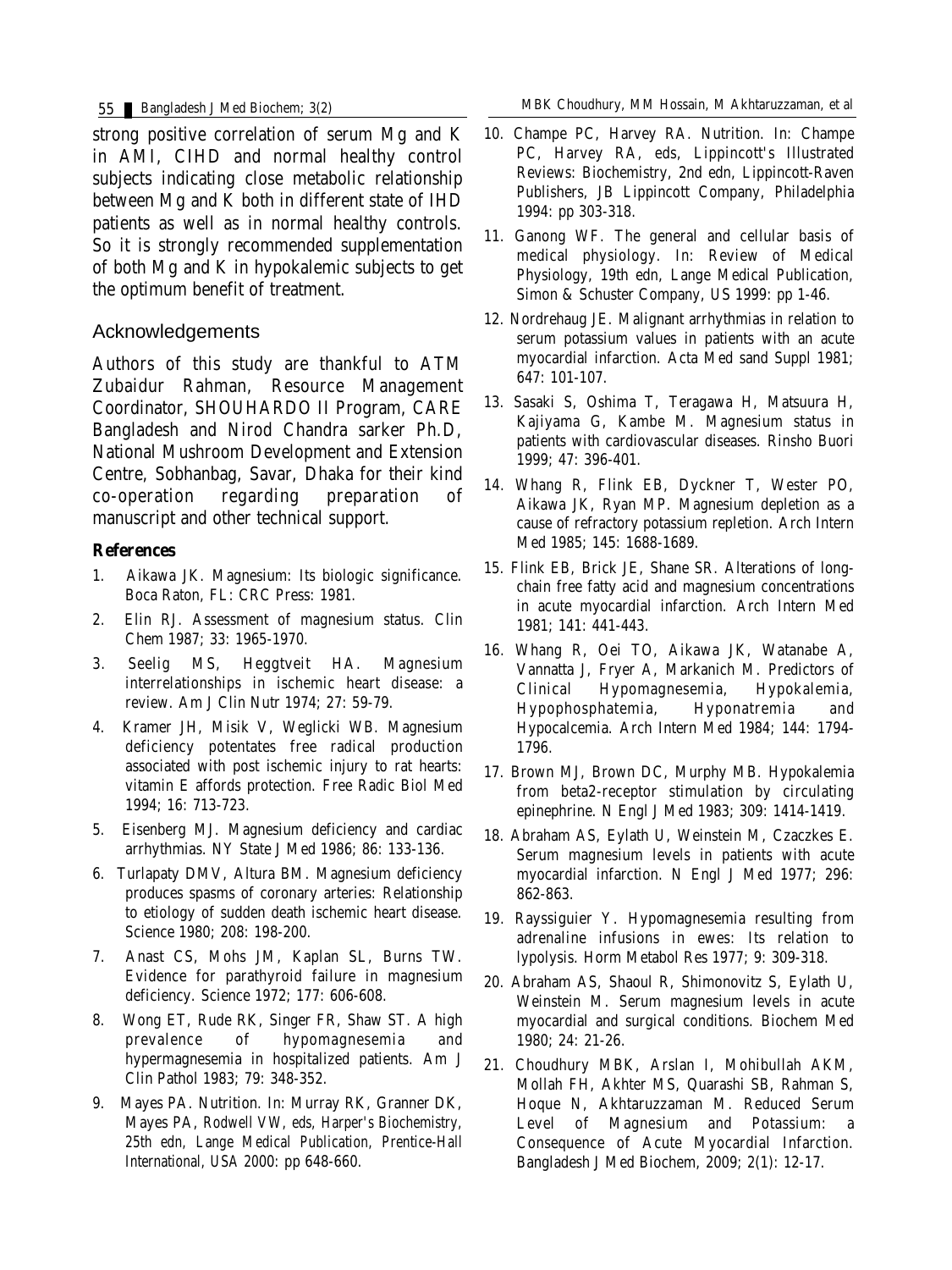strong positive correlation of serum Mg and K in AMI, CIHD and normal healthy control subjects indicating close metabolic relationship between Mg and K both in different state of IHD patients as well as in normal healthy controls. So it is strongly recommended supplementation of both Mg and K in hypokalemic subjects to get the optimum benefit of treatment.

## Acknowledgements

Authors of this study are thankful to ATM Zubaidur Rahman, Resource Management Coordinator, SHOUHARDO II Program, CARE Bangladesh and Nirod Chandra sarker Ph.D, National Mushroom Development and Extension Centre, Sobhanbag, Savar, Dhaka for their kind co-operation regarding preparation of manuscript and other technical support.

#### **References**

- 1. Aikawa JK. Magnesium: Its biologic significance. Boca Raton, FL: CRC Press: 1981.
- 2. Elin RJ. Assessment of magnesium status. Clin Chem 1987; 33: 1965-1970.
- 3. Seelig MS, Heggtveit HA. Magnesium interrelationships in ischemic heart disease: a review. Am J Clin Nutr 1974; 27: 59-79.
- 4. Kramer JH, Misik V, Weglicki WB. Magnesium deficiency potentates free radical production associated with post ischemic injury to rat hearts: vitamin E affords protection. Free Radic Biol Med 1994; 16: 713-723.
- 5. Eisenberg MJ. Magnesium deficiency and cardiac arrhythmias. NY State J Med 1986; 86: 133-136.
- 6. Turlapaty DMV, Altura BM. Magnesium deficiency produces spasms of coronary arteries: Relationship to etiology of sudden death ischemic heart disease. Science 1980; 208: 198-200.
- 7. Anast CS, Mohs JM, Kaplan SL, Burns TW. Evidence for parathyroid failure in magnesium deficiency. Science 1972; 177: 606-608.
- 8. Wong ET, Rude RK, Singer FR, Shaw ST. A high prevalence of hypomagnesemia and hypermagnesemia in hospitalized patients. Am J Clin Pathol 1983; 79: 348-352.
- 9. Mayes PA. Nutrition. In: Murray RK, Granner DK, Mayes PA, Rodwell VW, eds, Harper's Biochemistry, 25th edn, Lange Medical Publication, Prentice-Hall International, USA 2000: pp 648-660.

55 Bangladesh J Med Biochem; 3(2) MBK Choudhury, MM Hossain, M Akhtaruzzaman, et al

- 10. Champe PC, Harvey RA. Nutrition. In: Champe PC, Harvey RA, eds, Lippincott's Illustrated Reviews: Biochemistry, 2nd edn, Lippincott-Raven Publishers, JB Lippincott Company, Philadelphia 1994: pp 303-318.
- 11. Ganong WF. The general and cellular basis of medical physiology. In: Review of Medical Physiology, 19th edn, Lange Medical Publication, Simon & Schuster Company, US 1999: pp 1-46.
- 12. Nordrehaug JE. Malignant arrhythmias in relation to serum potassium values in patients with an acute myocardial infarction. Acta Med sand Suppl 1981; 647: 101-107.
- 13. Sasaki S, Oshima T, Teragawa H, Matsuura H, Kajiyama G, Kambe M. Magnesium status in patients with cardiovascular diseases. Rinsho Buori 1999; 47: 396-401.
- 14. Whang R, Flink EB, Dyckner T, Wester PO, Aikawa JK, Ryan MP. Magnesium depletion as a cause of refractory potassium repletion. Arch Intern Med 1985; 145: 1688-1689.
- 15. Flink EB, Brick JE, Shane SR. Alterations of longchain free fatty acid and magnesium concentrations in acute myocardial infarction. Arch Intern Med 1981; 141: 441-443.
- 16. Whang R, Oei TO, Aikawa JK, Watanabe A, Vannatta J, Fryer A, Markanich M. Predictors of Clinical Hypomagnesemia, Hypokalemia, Hypophosphatemia, Hyponatremia and Hypocalcemia. Arch Intern Med 1984; 144: 1794- 1796.
- 17. Brown MJ, Brown DC, Murphy MB. Hypokalemia from beta2-receptor stimulation by circulating epinephrine. N Engl J Med 1983; 309: 1414-1419.
- 18. Abraham AS, Eylath U, Weinstein M, Czaczkes E. Serum magnesium levels in patients with acute myocardial infarction. N Engl J Med 1977; 296: 862-863.
- 19. Rayssiguier Y. Hypomagnesemia resulting from adrenaline infusions in ewes: Its relation to lypolysis. Horm Metabol Res 1977; 9: 309-318.
- 20. Abraham AS, Shaoul R, Shimonovitz S, Eylath U, Weinstein M. Serum magnesium levels in acute myocardial and surgical conditions. Biochem Med 1980; 24: 21-26.
- 21. Choudhury MBK, Arslan I, Mohibullah AKM, Mollah FH, Akhter MS, Quarashi SB, Rahman S, Hoque N, Akhtaruzzaman M. Reduced Serum Level of Magnesium and Potassium: a Consequence of Acute Myocardial Infarction. Bangladesh J Med Biochem, 2009; 2(1): 12-17.